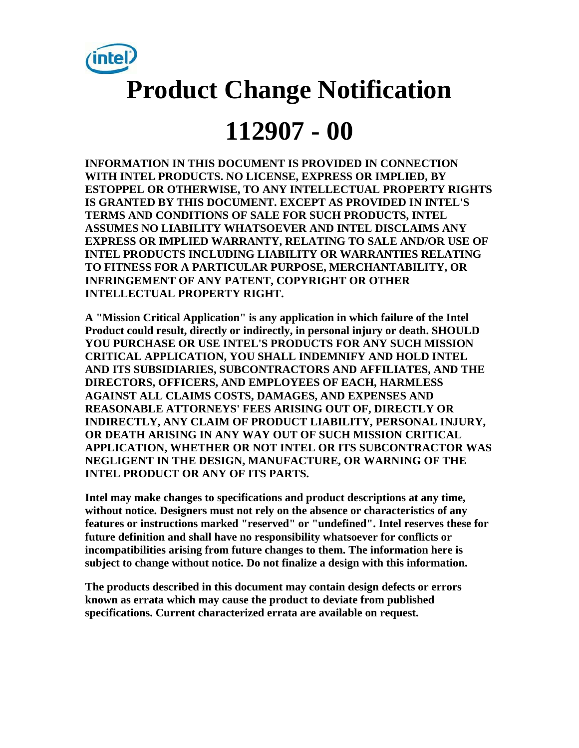

# **112907 - 00**

**INFORMATION IN THIS DOCUMENT IS PROVIDED IN CONNECTION WITH INTEL PRODUCTS. NO LICENSE, EXPRESS OR IMPLIED, BY ESTOPPEL OR OTHERWISE, TO ANY INTELLECTUAL PROPERTY RIGHTS IS GRANTED BY THIS DOCUMENT. EXCEPT AS PROVIDED IN INTEL'S TERMS AND CONDITIONS OF SALE FOR SUCH PRODUCTS, INTEL ASSUMES NO LIABILITY WHATSOEVER AND INTEL DISCLAIMS ANY EXPRESS OR IMPLIED WARRANTY, RELATING TO SALE AND/OR USE OF INTEL PRODUCTS INCLUDING LIABILITY OR WARRANTIES RELATING TO FITNESS FOR A PARTICULAR PURPOSE, MERCHANTABILITY, OR INFRINGEMENT OF ANY PATENT, COPYRIGHT OR OTHER INTELLECTUAL PROPERTY RIGHT.** 

**A "Mission Critical Application" is any application in which failure of the Intel Product could result, directly or indirectly, in personal injury or death. SHOULD YOU PURCHASE OR USE INTEL'S PRODUCTS FOR ANY SUCH MISSION CRITICAL APPLICATION, YOU SHALL INDEMNIFY AND HOLD INTEL AND ITS SUBSIDIARIES, SUBCONTRACTORS AND AFFILIATES, AND THE DIRECTORS, OFFICERS, AND EMPLOYEES OF EACH, HARMLESS AGAINST ALL CLAIMS COSTS, DAMAGES, AND EXPENSES AND REASONABLE ATTORNEYS' FEES ARISING OUT OF, DIRECTLY OR INDIRECTLY, ANY CLAIM OF PRODUCT LIABILITY, PERSONAL INJURY, OR DEATH ARISING IN ANY WAY OUT OF SUCH MISSION CRITICAL APPLICATION, WHETHER OR NOT INTEL OR ITS SUBCONTRACTOR WAS NEGLIGENT IN THE DESIGN, MANUFACTURE, OR WARNING OF THE INTEL PRODUCT OR ANY OF ITS PARTS.** 

**Intel may make changes to specifications and product descriptions at any time, without notice. Designers must not rely on the absence or characteristics of any features or instructions marked "reserved" or "undefined". Intel reserves these for future definition and shall have no responsibility whatsoever for conflicts or incompatibilities arising from future changes to them. The information here is subject to change without notice. Do not finalize a design with this information.** 

**The products described in this document may contain design defects or errors known as errata which may cause the product to deviate from published specifications. Current characterized errata are available on request.**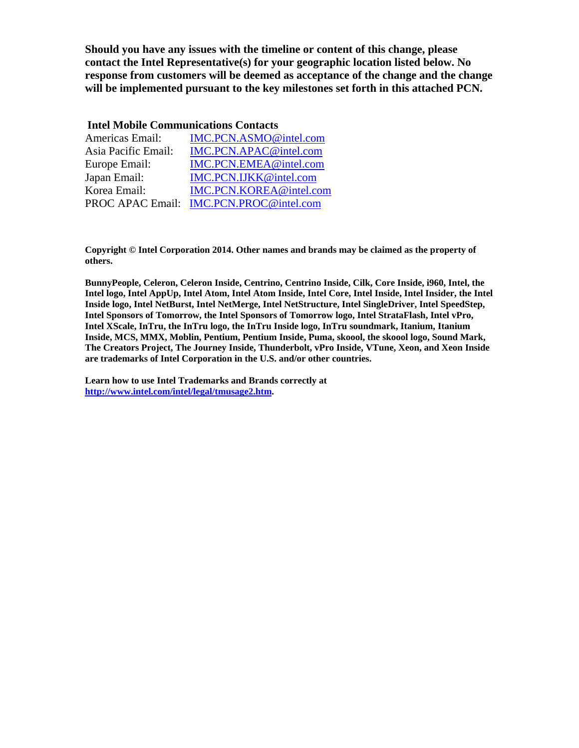**Should you have any issues with the timeline or content of this change, please contact the Intel Representative(s) for your geographic location listed below. No response from customers will be deemed as acceptance of the change and the change will be implemented pursuant to the key milestones set forth in this attached PCN.** 

#### **Intel Mobile Communications Contacts**

| Americas Email:     | IMC.PCN.ASMO@intel.com  |
|---------------------|-------------------------|
| Asia Pacific Email: | IMC.PCN.APAC@intel.com  |
| Europe Email:       | IMC.PCN.EMEA@intel.com  |
| Japan Email:        | IMC.PCN.IJKK@intel.com  |
| Korea Email:        | IMC.PCN.KOREA@intel.com |
| PROC APAC Email:    | IMC.PCN.PROC@intel.com  |

**Copyright © Intel Corporation 2014. Other names and brands may be claimed as the property of others.**

**BunnyPeople, Celeron, Celeron Inside, Centrino, Centrino Inside, Cilk, Core Inside, i960, Intel, the Intel logo, Intel AppUp, Intel Atom, Intel Atom Inside, Intel Core, Intel Inside, Intel Insider, the Intel Inside logo, Intel NetBurst, Intel NetMerge, Intel NetStructure, Intel SingleDriver, Intel SpeedStep, Intel Sponsors of Tomorrow, the Intel Sponsors of Tomorrow logo, Intel StrataFlash, Intel vPro, Intel XScale, InTru, the InTru logo, the InTru Inside logo, InTru soundmark, Itanium, Itanium Inside, MCS, MMX, Moblin, Pentium, Pentium Inside, Puma, skoool, the skoool logo, Sound Mark, The Creators Project, The Journey Inside, Thunderbolt, vPro Inside, VTune, Xeon, and Xeon Inside are trademarks of Intel Corporation in the U.S. and/or other countries.** 

**Learn how to use Intel Trademarks and Brands correctly at http://www.intel.com/intel/legal/tmusage2.htm.**